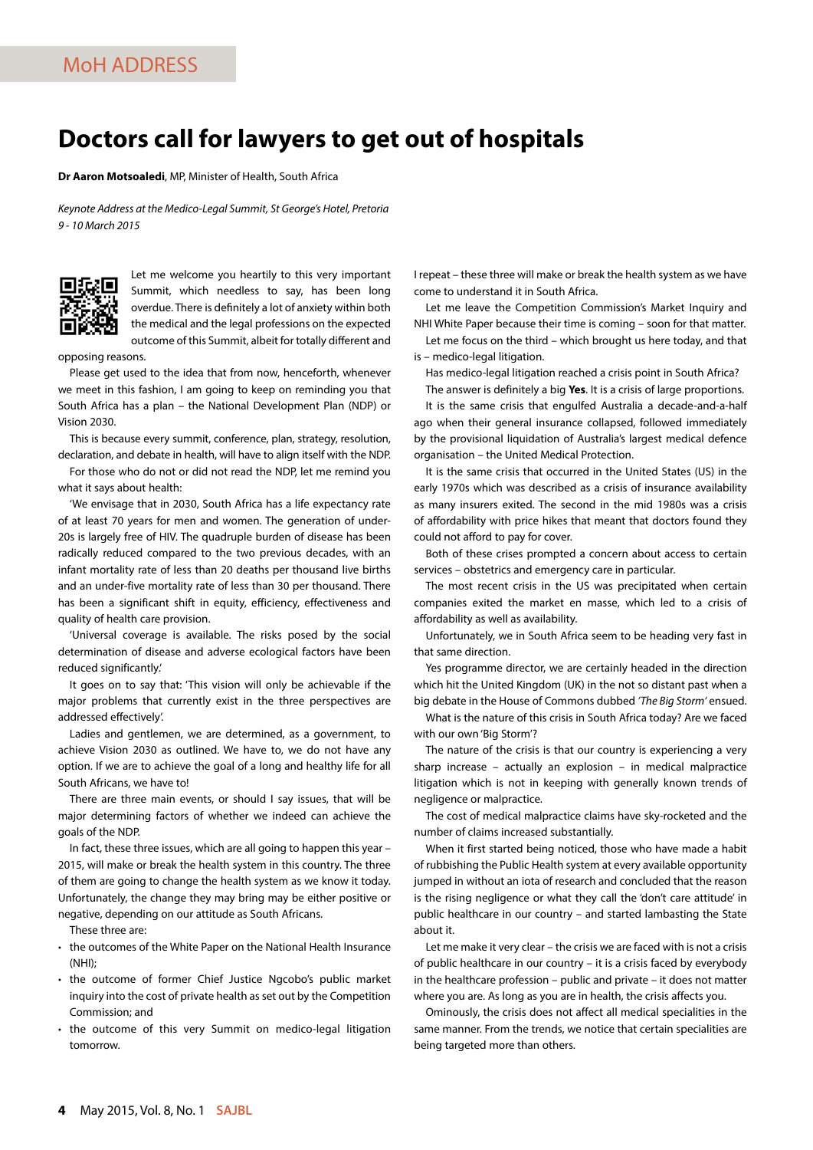## **Doctors call for lawyers to get out of hospitals**

**Dr Aaron Motsoaledi**, MP, Minister of Health, South Africa

*Keynote Address at the Medico-Legal Summit, St George's Hotel, Pretoria 9 - 10 March 2015*



Let me welcome you heartily to this very important Summit, which needless to say, has been long overdue. There is definitely a lot of anxiety within both the medical and the legal professions on the expected outcome of this Summit, albeit for totally different and

opposing reasons.

Please get used to the idea that from now, henceforth, whenever we meet in this fashion, I am going to keep on reminding you that South Africa has a plan – the National Development Plan (NDP) or Vision 2030.

This is because every summit, conference, plan, strategy, resolution, declaration, and debate in health, will have to align itself with the NDP.

For those who do not or did not read the NDP, let me remind you what it says about health:

'We envisage that in 2030, South Africa has a life expectancy rate of at least 70 years for men and women. The generation of under-20s is largely free of HIV. The quadruple burden of disease has been radically reduced compared to the two previous decades, with an infant mortality rate of less than 20 deaths per thousand live births and an under-five mortality rate of less than 30 per thousand. There has been a significant shift in equity, efficiency, effectiveness and quality of health care provision.

'Universal coverage is available. The risks posed by the social determination of disease and adverse ecological factors have been reduced significantly.

It goes on to say that: 'This vision will only be achievable if the major problems that currently exist in the three perspectives are addressed effectively'.

Ladies and gentlemen, we are determined, as a government, to achieve Vision 2030 as outlined. We have to, we do not have any option. If we are to achieve the goal of a long and healthy life for all South Africans, we have to!

There are three main events, or should I say issues, that will be major determining factors of whether we indeed can achieve the goals of the NDP.

In fact, these three issues, which are all going to happen this year – 2015, will make or break the health system in this country. The three of them are going to change the health system as we know it today. Unfortunately, the change they may bring may be either positive or negative, depending on our attitude as South Africans.

These three are:

- the outcomes of the White Paper on the National Health Insurance (NHI);
- the outcome of former Chief Justice Ngcobo's public market inquiry into the cost of private health as set out by the Competition Commission; and
- the outcome of this very Summit on medico-legal litigation tomorrow.

I repeat – these three will make or break the health system as we have come to understand it in South Africa.

Let me leave the Competition Commission's Market Inquiry and NHI White Paper because their time is coming – soon for that matter.

Let me focus on the third – which brought us here today, and that is – medico-legal litigation.

Has medico-legal litigation reached a crisis point in South Africa?

The answer is definitely a big **Yes**. It is a crisis of large proportions.

It is the same crisis that engulfed Australia a decade-and-a-half ago when their general insurance collapsed, followed immediately by the provisional liquidation of Australia's largest medical defence organisation – the United Medical Protection.

It is the same crisis that occurred in the United States (US) in the early 1970s which was described as a crisis of insurance availability as many insurers exited. The second in the mid 1980s was a crisis of affordability with price hikes that meant that doctors found they could not afford to pay for cover.

Both of these crises prompted a concern about access to certain services – obstetrics and emergency care in particular.

The most recent crisis in the US was precipitated when certain companies exited the market en masse, which led to a crisis of affordability as well as availability.

Unfortunately, we in South Africa seem to be heading very fast in that same direction.

Yes programme director, we are certainly headed in the direction which hit the United Kingdom (UK) in the not so distant past when a big debate in the House of Commons dubbed *'The Big Storm'* ensued.

What is the nature of this crisis in South Africa today? Are we faced with our own 'Big Storm'?

The nature of the crisis is that our country is experiencing a very sharp increase – actually an explosion – in medical malpractice litigation which is not in keeping with generally known trends of negligence or malpractice.

The cost of medical malpractice claims have sky-rocketed and the number of claims increased substantially.

When it first started being noticed, those who have made a habit of rubbishing the Public Health system at every available opportunity jumped in without an iota of research and concluded that the reason is the rising negligence or what they call the 'don't care attitude' in public healthcare in our country – and started lambasting the State about it.

Let me make it very clear – the crisis we are faced with is not a crisis of public healthcare in our country – it is a crisis faced by everybody in the healthcare profession – public and private – it does not matter where you are. As long as you are in health, the crisis affects you.

Ominously, the crisis does not affect all medical specialities in the same manner. From the trends, we notice that certain specialities are being targeted more than others.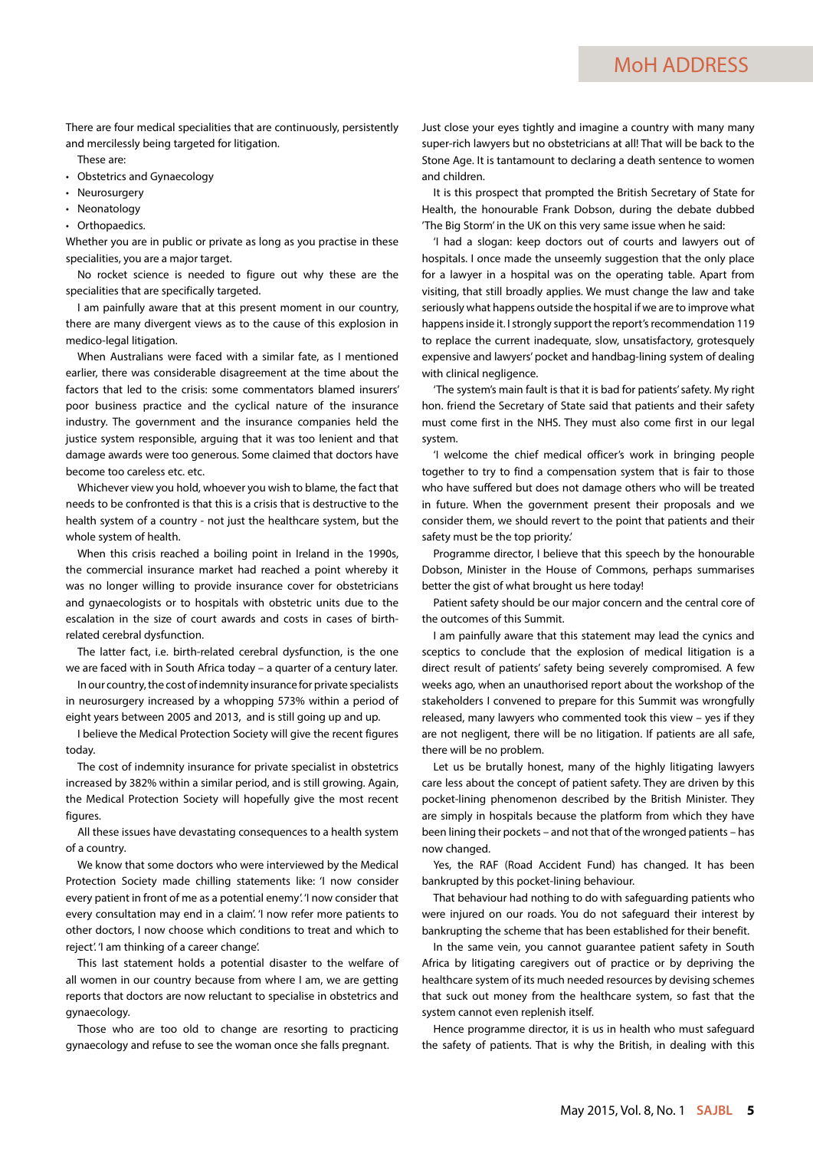There are four medical specialities that are continuously, persistently and mercilessly being targeted for litigation.

These are:

- Obstetrics and Gynaecology
- Neurosurgery
- Neonatology
- Orthopaedics.

Whether you are in public or private as long as you practise in these specialities, you are a major target.

No rocket science is needed to figure out why these are the specialities that are specifically targeted.

I am painfully aware that at this present moment in our country, there are many divergent views as to the cause of this explosion in medico-legal litigation.

When Australians were faced with a similar fate, as I mentioned earlier, there was considerable disagreement at the time about the factors that led to the crisis: some commentators blamed insurers' poor business practice and the cyclical nature of the insurance industry. The government and the insurance companies held the justice system responsible, arguing that it was too lenient and that damage awards were too generous. Some claimed that doctors have become too careless etc. etc.

Whichever view you hold, whoever you wish to blame, the fact that needs to be confronted is that this is a crisis that is destructive to the health system of a country - not just the healthcare system, but the whole system of health.

When this crisis reached a boiling point in Ireland in the 1990s, the commercial insurance market had reached a point whereby it was no longer willing to provide insurance cover for obstetricians and gynaecologists or to hospitals with obstetric units due to the escalation in the size of court awards and costs in cases of birthrelated cerebral dysfunction.

The latter fact, i.e. birth-related cerebral dysfunction, is the one we are faced with in South Africa today – a quarter of a century later.

In our country, the cost of indemnity insurance for private specialists in neurosurgery increased by a whopping 573% within a period of eight years between 2005 and 2013, and is still going up and up.

I believe the Medical Protection Society will give the recent figures today.

The cost of indemnity insurance for private specialist in obstetrics increased by 382% within a similar period, and is still growing. Again, the Medical Protection Society will hopefully give the most recent figures.

All these issues have devastating consequences to a health system of a country.

We know that some doctors who were interviewed by the Medical Protection Society made chilling statements like: 'I now consider every patient in front of me as a potential enemy'. 'I now consider that every consultation may end in a claim'. 'I now refer more patients to other doctors, I now choose which conditions to treat and which to reject'. 'I am thinking of a career change'.

This last statement holds a potential disaster to the welfare of all women in our country because from where I am, we are getting reports that doctors are now reluctant to specialise in obstetrics and gynaecology.

Those who are too old to change are resorting to practicing gynaecology and refuse to see the woman once she falls pregnant.

Just close your eyes tightly and imagine a country with many many super-rich lawyers but no obstetricians at all! That will be back to the Stone Age. It is tantamount to declaring a death sentence to women and children.

It is this prospect that prompted the British Secretary of State for Health, the honourable Frank Dobson, during the debate dubbed 'The Big Storm' in the UK on this very same issue when he said:

'I had a slogan: keep doctors out of courts and lawyers out of hospitals. I once made the unseemly suggestion that the only place for a lawyer in a hospital was on the operating table. Apart from visiting, that still broadly applies. We must change the law and take seriously what happens outside the hospital if we are to improve what happens inside it. I strongly support the report's recommendation 119 to replace the current inadequate, slow, unsatisfactory, grotesquely expensive and lawyers' pocket and handbag-lining system of dealing with clinical negligence.

'The system's main fault is that it is bad for patients' safety. My right hon. friend the Secretary of State said that patients and their safety must come first in the NHS. They must also come first in our legal system.

'I welcome the chief medical officer's work in bringing people together to try to find a compensation system that is fair to those who have suffered but does not damage others who will be treated in future. When the government present their proposals and we consider them, we should revert to the point that patients and their safety must be the top priority.'

Programme director, I believe that this speech by the honourable Dobson, Minister in the House of Commons, perhaps summarises better the gist of what brought us here today!

Patient safety should be our major concern and the central core of the outcomes of this Summit.

I am painfully aware that this statement may lead the cynics and sceptics to conclude that the explosion of medical litigation is a direct result of patients' safety being severely compromised. A few weeks ago, when an unauthorised report about the workshop of the stakeholders I convened to prepare for this Summit was wrongfully released, many lawyers who commented took this view – yes if they are not negligent, there will be no litigation. If patients are all safe, there will be no problem.

Let us be brutally honest, many of the highly litigating lawyers care less about the concept of patient safety. They are driven by this pocket-lining phenomenon described by the British Minister. They are simply in hospitals because the platform from which they have been lining their pockets – and not that of the wronged patients – has now changed.

Yes, the RAF (Road Accident Fund) has changed. It has been bankrupted by this pocket-lining behaviour.

That behaviour had nothing to do with safeguarding patients who were injured on our roads. You do not safeguard their interest by bankrupting the scheme that has been established for their benefit.

In the same vein, you cannot guarantee patient safety in South Africa by litigating caregivers out of practice or by depriving the healthcare system of its much needed resources by devising schemes that suck out money from the healthcare system, so fast that the system cannot even replenish itself.

Hence programme director, it is us in health who must safeguard the safety of patients. That is why the British, in dealing with this